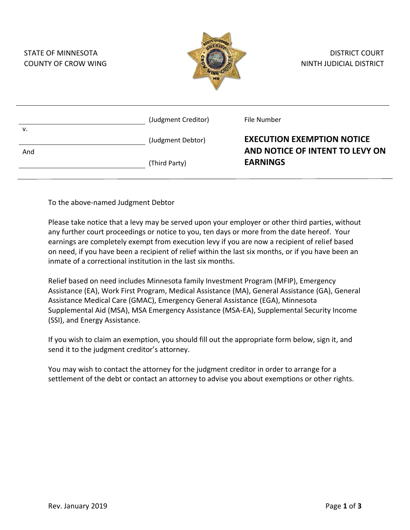| <b>STATE OF MINNESOTA</b><br><b>COUNTY OF CROW WING</b> |                     | <b>DISTRICT COURT</b><br>NINTH JUDICIAL DISTRICT                     |
|---------------------------------------------------------|---------------------|----------------------------------------------------------------------|
| v.                                                      | (Judgment Creditor) | File Number                                                          |
|                                                         | (Judgment Debtor)   | <b>EXECUTION EXEMPTION NOTICE</b><br>AND NOTICE OF INTENT TO LEVY ON |
| And                                                     | (Third Party)       | <b>EARNINGS</b>                                                      |

To the above-named Judgment Debtor

Please take notice that a levy may be served upon your employer or other third parties, without any further court proceedings or notice to you, ten days or more from the date hereof. Your earnings are completely exempt from execution levy if you are now a recipient of relief based on need, if you have been a recipient of relief within the last six months, or if you have been an inmate of a correctional institution in the last six months.

Relief based on need includes Minnesota family Investment Program (MFIP), Emergency Assistance (EA), Work First Program, Medical Assistance (MA), General Assistance (GA), General Assistance Medical Care (GMAC), Emergency General Assistance (EGA), Minnesota Supplemental Aid (MSA), MSA Emergency Assistance (MSA-EA), Supplemental Security Income (SSI), and Energy Assistance.

If you wish to claim an exemption, you should fill out the appropriate form below, sign it, and send it to the judgment creditor's attorney.

You may wish to contact the attorney for the judgment creditor in order to arrange for a settlement of the debt or contact an attorney to advise you about exemptions or other rights.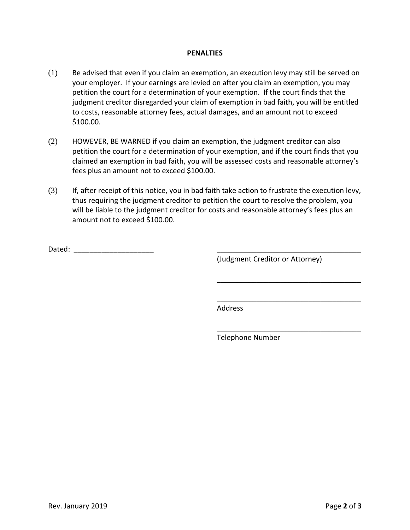## **PENALTIES**

- (1) Be advised that even if you claim an exemption, an execution levy may still be served on your employer. If your earnings are levied on after you claim an exemption, you may petition the court for a determination of your exemption. If the court finds that the judgment creditor disregarded your claim of exemption in bad faith, you will be entitled to costs, reasonable attorney fees, actual damages, and an amount not to exceed \$100.00.
- (2) HOWEVER, BE WARNED if you claim an exemption, the judgment creditor can also petition the court for a determination of your exemption, and if the court finds that you claimed an exemption in bad faith, you will be assessed costs and reasonable attorney's fees plus an amount not to exceed \$100.00.
- (3) If, after receipt of this notice, you in bad faith take action to frustrate the execution levy, thus requiring the judgment creditor to petition the court to resolve the problem, you will be liable to the judgment creditor for costs and reasonable attorney's fees plus an amount not to exceed \$100.00.

Dated: \_\_\_\_\_\_\_\_\_\_\_\_\_\_\_\_\_\_\_\_ \_\_\_\_\_\_\_\_\_\_\_\_\_\_\_\_\_\_\_\_\_\_\_\_\_\_\_\_\_\_\_\_\_\_\_\_

(Judgment Creditor or Attorney)

\_\_\_\_\_\_\_\_\_\_\_\_\_\_\_\_\_\_\_\_\_\_\_\_\_\_\_\_\_\_\_\_\_\_\_\_

\_\_\_\_\_\_\_\_\_\_\_\_\_\_\_\_\_\_\_\_\_\_\_\_\_\_\_\_\_\_\_\_\_\_\_\_

\_\_\_\_\_\_\_\_\_\_\_\_\_\_\_\_\_\_\_\_\_\_\_\_\_\_\_\_\_\_\_\_\_\_\_\_

Address

Telephone Number